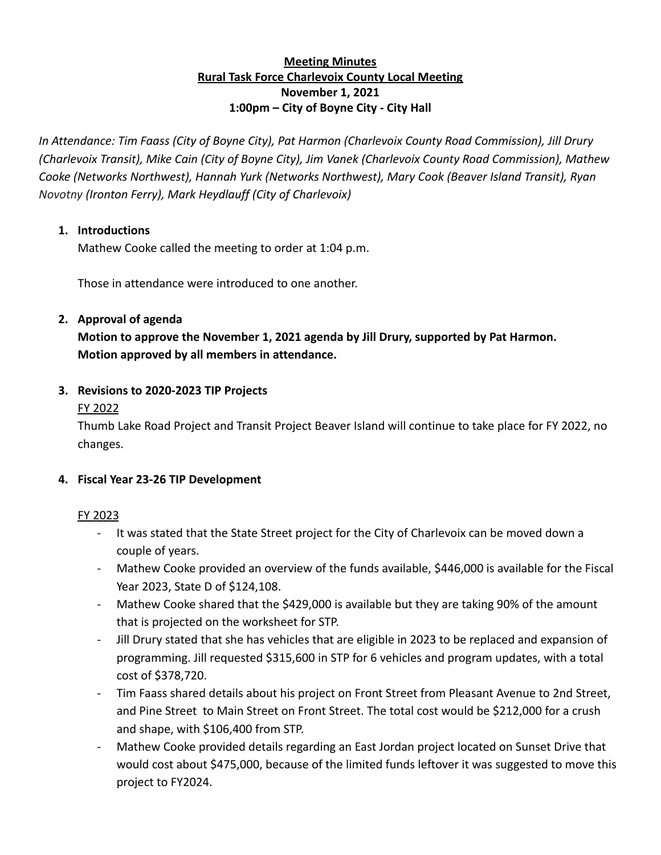#### **Meeting Minutes Rural Task Force Charlevoix County Local Meeting November 1, 2021 1:00pm – City of Boyne City - City Hall**

*In Attendance: Tim Faass (City of Boyne City), Pat Harmon (Charlevoix County Road Commission), Jill Drury (Charlevoix Transit), Mike Cain (City of Boyne City), Jim Vanek (Charlevoix County Road Commission), Mathew Cooke (Networks Northwest), Hannah Yurk (Networks Northwest), Mary Cook (Beaver Island Transit), Ryan Novotny (Ironton Ferry), Mark Heydlauff (City of Charlevoix)*

### **1. Introductions**

Mathew Cooke called the meeting to order at 1:04 p.m.

Those in attendance were introduced to one another.

# **2. Approval of agenda**

**Motion to approve the November 1, 2021 agenda by Jill Drury, supported by Pat Harmon. Motion approved by all members in attendance.**

# **3. Revisions to 2020-2023 TIP Projects**

### FY 2022

Thumb Lake Road Project and Transit Project Beaver Island will continue to take place for FY 2022, no changes.

# **4. Fiscal Year 23-26 TIP Development**

### FY 2023

- It was stated that the State Street project for the City of Charlevoix can be moved down a couple of years.
- Mathew Cooke provided an overview of the funds available, \$446,000 is available for the Fiscal Year 2023, State D of \$124,108.
- Mathew Cooke shared that the \$429,000 is available but they are taking 90% of the amount that is projected on the worksheet for STP.
- Jill Drury stated that she has vehicles that are eligible in 2023 to be replaced and expansion of programming. Jill requested \$315,600 in STP for 6 vehicles and program updates, with a total cost of \$378,720.
- Tim Faass shared details about his project on Front Street from Pleasant Avenue to 2nd Street, and Pine Street to Main Street on Front Street. The total cost would be \$212,000 for a crush and shape, with \$106,400 from STP.
- Mathew Cooke provided details regarding an East Jordan project located on Sunset Drive that would cost about \$475,000, because of the limited funds leftover it was suggested to move this project to FY2024.